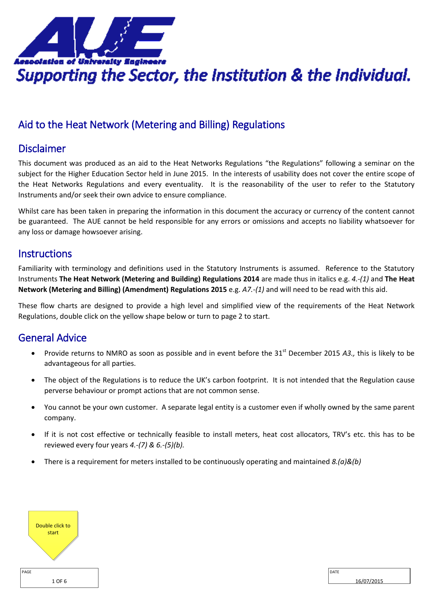<span id="page-0-0"></span>

# Aid to the Heat Network (Metering and Billing) Regulations

## Disclaimer

This document was produced as an aid to the Heat Networks Regulations "the Regulations" following a seminar on the subject for the Higher Education Sector held in June 2015. In the interests of usability does not cover the entire scope of the Heat Networks Regulations and every eventuality. It is the reasonability of the user to refer to the Statutory Instruments and/or seek their own advice to ensure compliance.

Whilst care has been taken in preparing the information in this document the accuracy or currency of the content cannot be guaranteed. The AUE cannot be held responsible for any errors or omissions and accepts no liability whatsoever for any loss or damage howsoever arising.

### **Instructions**

Familiarity with terminology and definitions used in the Statutory Instruments is assumed. Reference to the Statutory Instruments **The Heat Network (Metering and Building) Regulations 2014** are made thus in italics e.g. *4.-(1)* and **The Heat Network (Metering and Billing) (Amendment) Regulations 2015** e.g. *A7.-(1)* and will need to be read with this aid.

These flow charts are designed to provide a high level and simplified view of the requirements of the Heat Network Regulations, double click on the yellow shape below or turn to page 2 to start.

## General Advice

- Provide returns to NMRO as soon as possible and in event before the 31<sup>st</sup> December 2015 A3., this is likely to be advantageous for all parties.
- The object of the Regulations is to reduce the UK's carbon footprint. It is not intended that the Regulation cause perverse behaviour or prompt actions that are not common sense.
- You cannot be your own customer. A separate legal entity is a customer even if wholly owned by the same parent company.
- If it is not cost effective or technically feasible to install meters, heat cost allocators, TRV's etc. this has to be reviewed every four years *4.-(7) & 6.-(5)(b).*
- There is a requirement for meters installed to be continuously operating and maintained *8.(a)&(b)*

| Double click to<br>start |  |
|--------------------------|--|
| PAGE                     |  |
| 1 OF 6                   |  |

| DATF |            |
|------|------------|
|      | 16/07/2015 |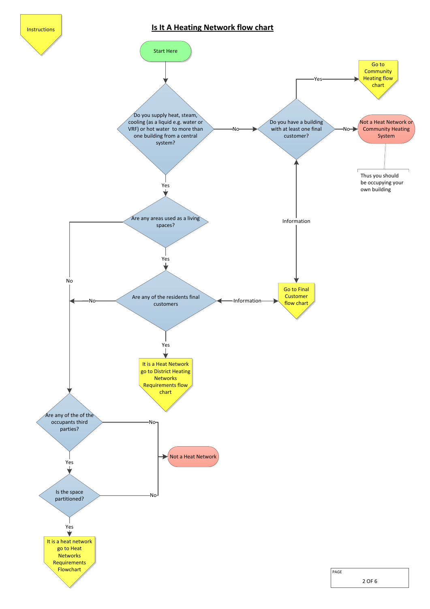<span id="page-1-0"></span>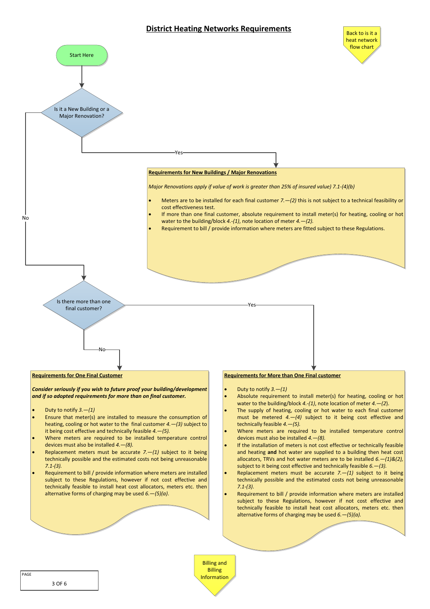#### **District Heating Networks Requirements**

<span id="page-2-0"></span>

PAGE **[Information](#page-5-0)** 

3 OF 6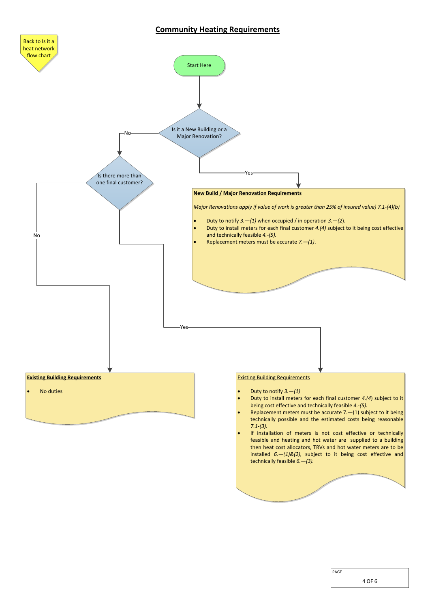#### **Community Heating Requirements**

<span id="page-3-0"></span>

PAGE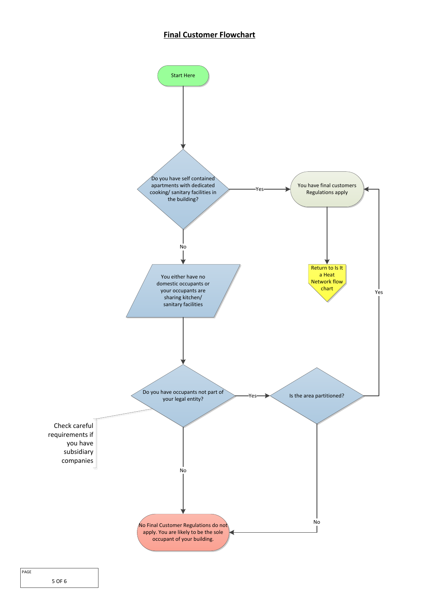#### <span id="page-4-0"></span>**Final Customer Flowchart**

<span id="page-4-1"></span>

5 OF 6